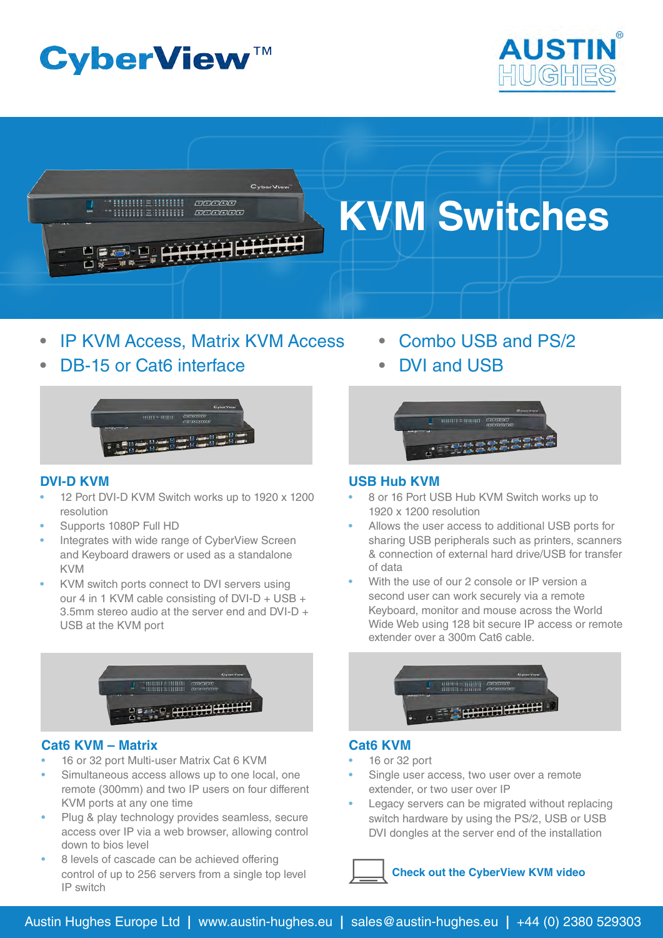# **CyberView™**





- **IP KVM Access, Matrix KVM Access**
- DB-15 or Cat6 interface



# **DVI-D KVM**

- 12 Port DVI-D KVM Switch works up to 1920 x 1200 resolution
- Supports 1080P Full HD
- Integrates with wide range of CyberView Screen and Keyboard drawers or used as a standalone KVM
- KVM switch ports connect to DVI servers using our 4 in 1 KVM cable consisting of DVI-D + USB + 3.5mm stereo audio at the server end and DVI-D + USB at the KVM port



## **Cat6 KVM – Matrix**

- 16 or 32 port Multi-user Matrix Cat 6 KVM
- Simultaneous access allows up to one local, one remote (300mm) and two IP users on four different KVM ports at any one time
- Plug & play technology provides seamless, secure access over IP via a web browser, allowing control down to bios level
- 8 levels of cascade can be achieved offering control of up to 256 servers from a single top level IP switch
- Combo USB and PS/2
	- **DVI and USB**



# **USB Hub KVM**

- 8 or 16 Port USB Hub KVM Switch works up to 1920 x 1200 resolution
- Allows the user access to additional USB ports for sharing USB peripherals such as printers, scanners & connection of external hard drive/USB for transfer of data
- With the use of our 2 console or IP version a second user can work securely via a remote Keyboard, monitor and mouse across the World Wide Web using 128 bit secure IP access or remote extender over a 300m Cat6 cable.



## **Cat6 KVM**

- 16 or 32 port
- Single user access, two user over a remote extender, or two user over IP
- Legacy servers can be migrated without replacing switch hardware by using the PS/2, USB or USB DVI dongles at the server end of the installation

# **[Check out the CyberView KVM video](www.austin-hughes.eu/kvmvid.php)**